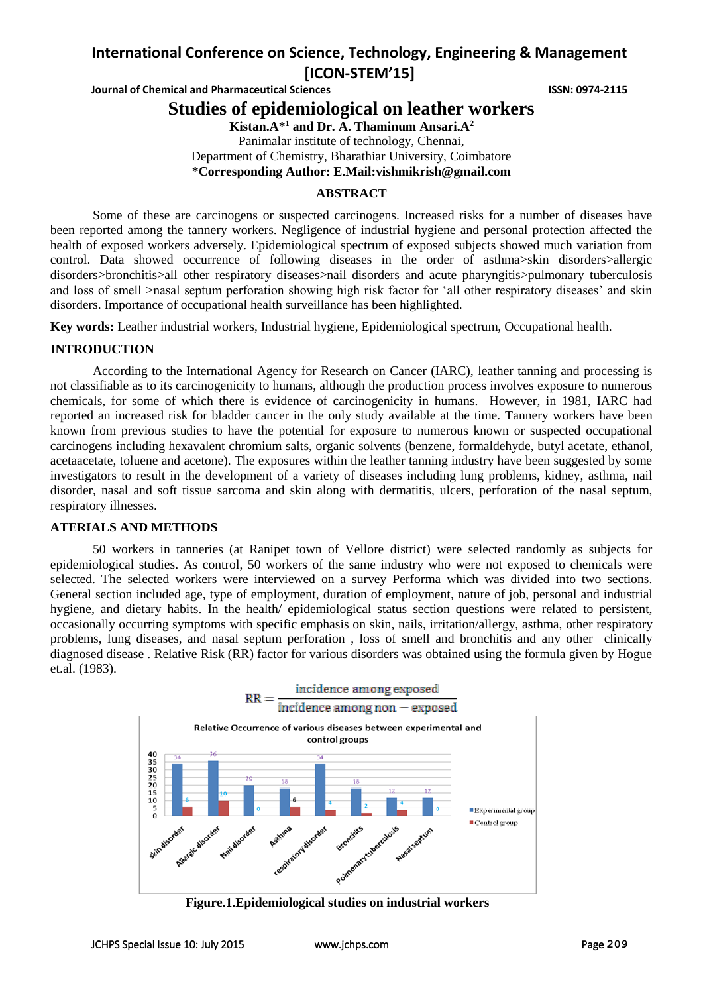# **International Conference on Science, Technology, Engineering & Management [ICON-STEM'15]**

**Journal of Chemical and Pharmaceutical Sciences ISSN: 0974-2115** 

## **Studies of epidemiological on leather workers**

**Kistan.A\*<sup>1</sup> and Dr. A. Thaminum Ansari.A<sup>2</sup>**

Panimalar institute of technology, Chennai, Department of Chemistry, Bharathiar University, Coimbatore **\*Corresponding Author: E.Mail[:vishmikrish@gmail.com](mailto:vishmikrish@gmail.com)**

#### **ABSTRACT**

Some of these are carcinogens or suspected carcinogens. Increased risks for a number of diseases have been reported among the tannery workers. Negligence of industrial hygiene and personal protection affected the health of exposed workers adversely. Epidemiological spectrum of exposed subjects showed much variation from control. Data showed occurrence of following diseases in the order of asthma>skin disorders>allergic disorders>bronchitis>all other respiratory diseases>nail disorders and acute pharyngitis>pulmonary tuberculosis and loss of smell >nasal septum perforation showing high risk factor for 'all other respiratory diseases' and skin disorders. Importance of occupational health surveillance has been highlighted.

**Key words:** Leather industrial workers, Industrial hygiene, Epidemiological spectrum, Occupational health.

#### **INTRODUCTION**

According to the International Agency for Research on Cancer (IARC), leather tanning and processing is not classifiable as to its carcinogenicity to humans, although the production process involves exposure to numerous chemicals, for some of which there is evidence of carcinogenicity in humans. However, in 1981, IARC had reported an increased risk for bladder cancer in the only study available at the time. Tannery workers have been known from previous studies to have the potential for exposure to numerous known or suspected occupational carcinogens including hexavalent chromium salts, organic solvents (benzene, formaldehyde, butyl acetate, ethanol, acetaacetate, toluene and acetone). The exposures within the leather tanning industry have been suggested by some investigators to result in the development of a variety of diseases including lung problems, kidney, asthma, nail disorder, nasal and soft tissue sarcoma and skin along with dermatitis, ulcers, perforation of the nasal septum, respiratory illnesses.

#### **ATERIALS AND METHODS**

50 workers in tanneries (at Ranipet town of Vellore district) were selected randomly as subjects for epidemiological studies. As control, 50 workers of the same industry who were not exposed to chemicals were selected. The selected workers were interviewed on a survey Performa which was divided into two sections. General section included age, type of employment, duration of employment, nature of job, personal and industrial hygiene, and dietary habits. In the health/ epidemiological status section questions were related to persistent, occasionally occurring symptoms with specific emphasis on skin, nails, irritation/allergy, asthma, other respiratory problems, lung diseases, and nasal septum perforation , loss of smell and bronchitis and any other clinically diagnosed disease . Relative Risk (RR) factor for various disorders was obtained using the formula given by Hogue et.al. (1983).



**Figure.1.Epidemiological studies on industrial workers**